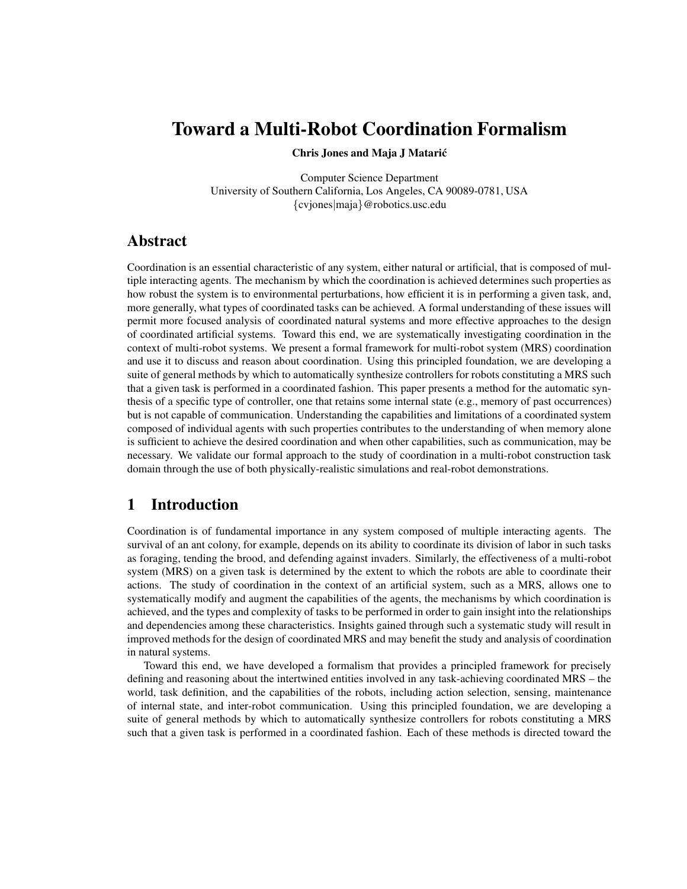# **Toward a Multi-Robot Coordination Formalism**

**Chris Jones and Maja J Mataric´**

Computer Science Department University of Southern California, Los Angeles, CA 90089-0781, USA {cvjones|maja}@robotics.usc.edu

## **Abstract**

Coordination is an essential characteristic of any system, either natural or artificial, that is composed of multiple interacting agents. The mechanism by which the coordination is achieved determines such properties as how robust the system is to environmental perturbations, how efficient it is in performing a given task, and, more generally, what types of coordinated tasks can be achieved. A formal understanding of these issues will permit more focused analysis of coordinated natural systems and more effective approaches to the design of coordinated artificial systems. Toward this end, we are systematically investigating coordination in the context of multi-robot systems. We present a formal framework for multi-robot system (MRS) coordination and use it to discuss and reason about coordination. Using this principled foundation, we are developing a suite of general methods by which to automatically synthesize controllers for robots constituting a MRS such that a given task is performed in a coordinated fashion. This paper presents a method for the automatic synthesis of a specific type of controller, one that retains some internal state (e.g., memory of past occurrences) but is not capable of communication. Understanding the capabilities and limitations of a coordinated system composed of individual agents with such properties contributes to the understanding of when memory alone is sufficient to achieve the desired coordination and when other capabilities, such as communication, may be necessary. We validate our formal approach to the study of coordination in a multi-robot construction task domain through the use of both physically-realistic simulations and real-robot demonstrations.

## **1 Introduction**

Coordination is of fundamental importance in any system composed of multiple interacting agents. The survival of an ant colony, for example, depends on its ability to coordinate its division of labor in such tasks as foraging, tending the brood, and defending against invaders. Similarly, the effectiveness of a multi-robot system (MRS) on a given task is determined by the extent to which the robots are able to coordinate their actions. The study of coordination in the context of an artificial system, such as a MRS, allows one to systematically modify and augment the capabilities of the agents, the mechanisms by which coordination is achieved, and the types and complexity of tasks to be performed in order to gain insight into the relationships and dependencies among these characteristics. Insights gained through such a systematic study will result in improved methods for the design of coordinated MRS and may benefit the study and analysis of coordination in natural systems.

Toward this end, we have developed a formalism that provides a principled framework for precisely defining and reasoning about the intertwined entities involved in any task-achieving coordinated MRS – the world, task definition, and the capabilities of the robots, including action selection, sensing, maintenance of internal state, and inter-robot communication. Using this principled foundation, we are developing a suite of general methods by which to automatically synthesize controllers for robots constituting a MRS such that a given task is performed in a coordinated fashion. Each of these methods is directed toward the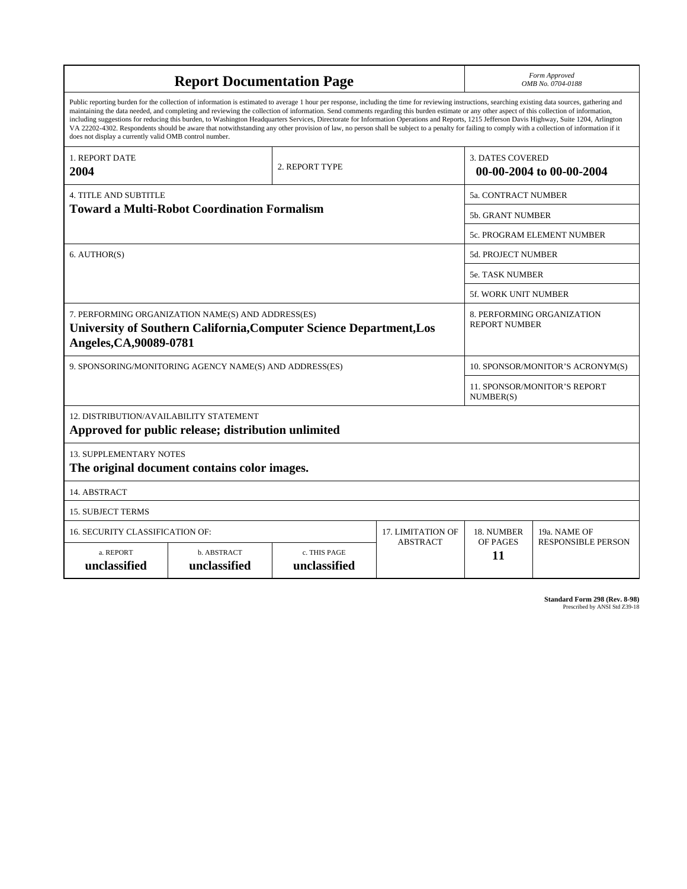| <b>Report Documentation Page</b>                                                                                                                                                                                                                                                                                                                                                                                                                                                                                                                                                                                                                                                                                                                                                                                                                                   |                             |                              |                 |                                                     | Form Approved<br>OMB No. 0704-0188                 |  |
|--------------------------------------------------------------------------------------------------------------------------------------------------------------------------------------------------------------------------------------------------------------------------------------------------------------------------------------------------------------------------------------------------------------------------------------------------------------------------------------------------------------------------------------------------------------------------------------------------------------------------------------------------------------------------------------------------------------------------------------------------------------------------------------------------------------------------------------------------------------------|-----------------------------|------------------------------|-----------------|-----------------------------------------------------|----------------------------------------------------|--|
| Public reporting burden for the collection of information is estimated to average 1 hour per response, including the time for reviewing instructions, searching existing data sources, gathering and<br>maintaining the data needed, and completing and reviewing the collection of information. Send comments regarding this burden estimate or any other aspect of this collection of information,<br>including suggestions for reducing this burden, to Washington Headquarters Services, Directorate for Information Operations and Reports, 1215 Jefferson Davis Highway, Suite 1204, Arlington<br>VA 22202-4302. Respondents should be aware that notwithstanding any other provision of law, no person shall be subject to a penalty for failing to comply with a collection of information if it<br>does not display a currently valid OMB control number. |                             |                              |                 |                                                     |                                                    |  |
| <b>1. REPORT DATE</b><br>2004                                                                                                                                                                                                                                                                                                                                                                                                                                                                                                                                                                                                                                                                                                                                                                                                                                      |                             | 2. REPORT TYPE               |                 | <b>3. DATES COVERED</b><br>00-00-2004 to 00-00-2004 |                                                    |  |
| <b>4. TITLE AND SUBTITLE</b>                                                                                                                                                                                                                                                                                                                                                                                                                                                                                                                                                                                                                                                                                                                                                                                                                                       |                             |                              |                 |                                                     | 5a. CONTRACT NUMBER                                |  |
| <b>Toward a Multi-Robot Coordination Formalism</b>                                                                                                                                                                                                                                                                                                                                                                                                                                                                                                                                                                                                                                                                                                                                                                                                                 |                             |                              |                 | <b>5b. GRANT NUMBER</b>                             |                                                    |  |
|                                                                                                                                                                                                                                                                                                                                                                                                                                                                                                                                                                                                                                                                                                                                                                                                                                                                    |                             |                              |                 |                                                     | 5c. PROGRAM ELEMENT NUMBER                         |  |
| 6. AUTHOR(S)                                                                                                                                                                                                                                                                                                                                                                                                                                                                                                                                                                                                                                                                                                                                                                                                                                                       |                             |                              |                 | <b>5d. PROJECT NUMBER</b>                           |                                                    |  |
|                                                                                                                                                                                                                                                                                                                                                                                                                                                                                                                                                                                                                                                                                                                                                                                                                                                                    |                             |                              |                 | <b>5e. TASK NUMBER</b>                              |                                                    |  |
|                                                                                                                                                                                                                                                                                                                                                                                                                                                                                                                                                                                                                                                                                                                                                                                                                                                                    |                             |                              |                 |                                                     | <b>5f. WORK UNIT NUMBER</b>                        |  |
| 7. PERFORMING ORGANIZATION NAME(S) AND ADDRESS(ES)<br>University of Southern California, Computer Science Department, Los<br>Angeles, CA, 90089-0781                                                                                                                                                                                                                                                                                                                                                                                                                                                                                                                                                                                                                                                                                                               |                             |                              |                 |                                                     | 8. PERFORMING ORGANIZATION<br><b>REPORT NUMBER</b> |  |
| 9. SPONSORING/MONITORING AGENCY NAME(S) AND ADDRESS(ES)                                                                                                                                                                                                                                                                                                                                                                                                                                                                                                                                                                                                                                                                                                                                                                                                            |                             |                              |                 | 10. SPONSOR/MONITOR'S ACRONYM(S)                    |                                                    |  |
|                                                                                                                                                                                                                                                                                                                                                                                                                                                                                                                                                                                                                                                                                                                                                                                                                                                                    |                             |                              |                 |                                                     | <b>11. SPONSOR/MONITOR'S REPORT</b><br>NUMBER(S)   |  |
| 12. DISTRIBUTION/AVAILABILITY STATEMENT<br>Approved for public release; distribution unlimited                                                                                                                                                                                                                                                                                                                                                                                                                                                                                                                                                                                                                                                                                                                                                                     |                             |                              |                 |                                                     |                                                    |  |
| <b>13. SUPPLEMENTARY NOTES</b><br>The original document contains color images.                                                                                                                                                                                                                                                                                                                                                                                                                                                                                                                                                                                                                                                                                                                                                                                     |                             |                              |                 |                                                     |                                                    |  |
| 14. ABSTRACT                                                                                                                                                                                                                                                                                                                                                                                                                                                                                                                                                                                                                                                                                                                                                                                                                                                       |                             |                              |                 |                                                     |                                                    |  |
| <b>15. SUBJECT TERMS</b>                                                                                                                                                                                                                                                                                                                                                                                                                                                                                                                                                                                                                                                                                                                                                                                                                                           |                             |                              |                 |                                                     |                                                    |  |
| 16. SECURITY CLASSIFICATION OF:                                                                                                                                                                                                                                                                                                                                                                                                                                                                                                                                                                                                                                                                                                                                                                                                                                    | 17. LIMITATION OF           | 18. NUMBER                   | 19a. NAME OF    |                                                     |                                                    |  |
| a. REPORT<br>unclassified                                                                                                                                                                                                                                                                                                                                                                                                                                                                                                                                                                                                                                                                                                                                                                                                                                          | b. ABSTRACT<br>unclassified | c. THIS PAGE<br>unclassified | <b>ABSTRACT</b> | OF PAGES<br>11                                      | <b>RESPONSIBLE PERSON</b>                          |  |

**Standard Form 298 (Rev. 8-98)**<br>Prescribed by ANSI Std Z39-18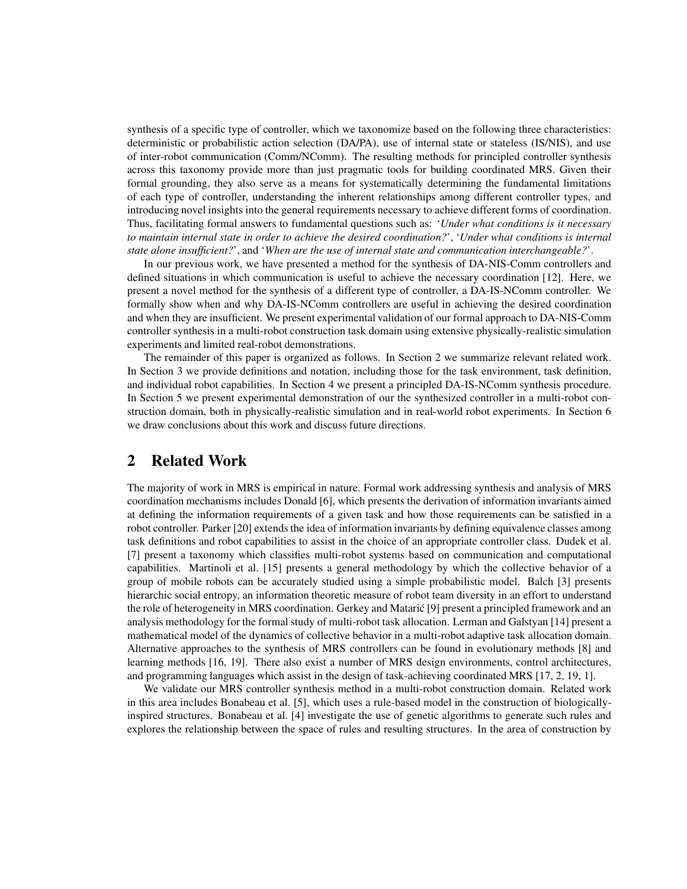synthesis of a specific type of controller, which we taxonomize based on the following three characteristics: deterministic or probabilistic action selection (DA/PA), use of internal state or stateless (IS/NIS), and use of inter-robot communication (Comm/NComm). The resulting methods for principled controller synthesis across this taxonomy provide more than just pragmatic tools for building coordinated MRS. Given their formal grounding, they also serve as a means for systematically determining the fundamental limitations of each type of controller, understanding the inherent relationships among different controller types, and introducing novel insights into the general requirements necessary to achieve different forms of coordination. Thus, facilitating formal answers to fundamental questions such as: '*Under what conditions is it necessary to maintain internal state in order to achieve the desired coordination?*', '*Under what conditions is internal state alone insufficient?*', and '*When are the use of internal state and communication interchangeable?*'.

In our previous work, we have presented a method for the synthesis of DA-NIS-Comm controllers and defined situations in which communication is useful to achieve the necessary coordination [12]. Here, we present a novel method for the synthesis of a different type of controller, a DA-IS-NComm controller. We formally show when and why DA-IS-NComm controllers are useful in achieving the desired coordination and when they are insufficient. We present experimental validation of our formal approach to DA-NIS-Comm controller synthesis in a multi-robot construction task domain using extensive physically-realistic simulation experiments and limited real-robot demonstrations.

The remainder of this paper is organized as follows. In Section 2 we summarize relevant related work. In Section 3 we provide definitions and notation, including those for the task environment, task definition, and individual robot capabilities. In Section 4 we present a principled DA-IS-NComm synthesis procedure. In Section 5 we present experimental demonstration of our the synthesized controller in a multi-robot construction domain, both in physically-realistic simulation and in real-world robot experiments. In Section 6 we draw conclusions about this work and discuss future directions.

## **2 Related Work**

The majority of work in MRS is empirical in nature. Formal work addressing synthesis and analysis of MRS coordination mechanisms includes Donald [6], which presents the derivation of information invariants aimed at defining the information requirements of a given task and how those requirements can be satisfied in a robot controller. Parker [20] extends the idea of information invariants by defining equivalence classes among task definitions and robot capabilities to assist in the choice of an appropriate controller class. Dudek et al. [7] present a taxonomy which classifies multi-robot systems based on communication and computational capabilities. Martinoli et al. [15] presents a general methodology by which the collective behavior of a group of mobile robots can be accurately studied using a simple probabilistic model. Balch [3] presents hierarchic social entropy, an information theoretic measure of robot team diversity in an effort to understand the role of heterogeneity in MRS coordination. Gerkey and Mataric´ [9] present a principled framework and an analysis methodology for the formal study of multi-robot task allocation. Lerman and Galstyan [14] present a mathematical model of the dynamics of collective behavior in a multi-robot adaptive task allocation domain. Alternative approaches to the synthesis of MRS controllers can be found in evolutionary methods [8] and learning methods [16, 19]. There also exist a number of MRS design environments, control architectures, and programming languages which assist in the design of task-achieving coordinated MRS [17, 2, 19, 1].

We validate our MRS controller synthesis method in a multi-robot construction domain. Related work in this area includes Bonabeau et al. [5], which uses a rule-based model in the construction of biologicallyinspired structures. Bonabeau et al. [4] investigate the use of genetic algorithms to generate such rules and explores the relationship between the space of rules and resulting structures. In the area of construction by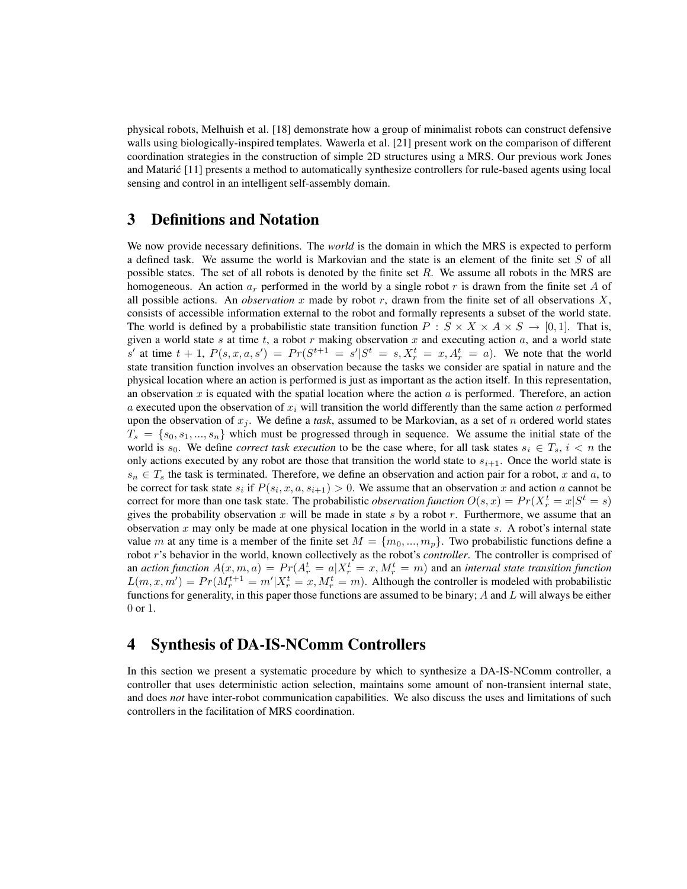physical robots, Melhuish et al. [18] demonstrate how a group of minimalist robots can construct defensive walls using biologically-inspired templates. Wawerla et al. [21] present work on the comparison of different coordination strategies in the construction of simple 2D structures using a MRS. Our previous work Jones and Mataric´ [11] presents a method to automatically synthesize controllers for rule-based agents using local sensing and control in an intelligent self-assembly domain.

## **3 Definitions and Notation**

We now provide necessary definitions. The *world* is the domain in which the MRS is expected to perform a defined task. We assume the world is Markovian and the state is an element of the finite set S of all possible states. The set of all robots is denoted by the finite set R. We assume all robots in the MRS are homogeneous. An action  $a_r$  performed in the world by a single robot r is drawn from the finite set A of all possible actions. An *observation* x made by robot r, drawn from the finite set of all observations  $X$ , consists of accessible information external to the robot and formally represents a subset of the world state. The world is defined by a probabilistic state transition function  $P : S \times X \times A \times S \rightarrow [0, 1]$ . That is, given a world state s at time t, a robot r making observation x and executing action  $a$ , and a world state s' at time  $t + 1$ ,  $P(s, x, a, s') = Pr(S^{t+1} = s'|S^t = s, X^t_r = x, A^t_r = a)$ . We note that the world state transition function involves an observation because the tasks we consider are spatial in nature and the physical location where an action is performed is just as important as the action itself. In this representation, an observation x is equated with the spatial location where the action  $\alpha$  is performed. Therefore, an action  $a$  executed upon the observation of  $x_i$  will transition the world differently than the same action  $a$  performed upon the observation of  $x_j$ . We define a *task*, assumed to be Markovian, as a set of n ordered world states  $T_s = \{s_0, s_1, ..., s_n\}$  which must be progressed through in sequence. We assume the initial state of the world is  $s_0$ . We define *correct task execution* to be the case where, for all task states  $s_i \in T_s$ ,  $i < n$  the only actions executed by any robot are those that transition the world state to  $s_{i+1}$ . Once the world state is  $s_n \in T_s$  the task is terminated. Therefore, we define an observation and action pair for a robot, x and a, to be correct for task state  $s_i$  if  $P(s_i, x, a, s_{i+1}) > 0$ . We assume that an observation x and action a cannot be correct for more than one task state. The probabilistic *observation function*  $O(s, x) = Pr(X_r^t = x | S^t = s)$ gives the probability observation x will be made in state s by a robot r. Furthermore, we assume that an observation  $x$  may only be made at one physical location in the world in a state  $s$ . A robot's internal state value m at any time is a member of the finite set  $M = \{m_0, ..., m_n\}$ . Two probabilistic functions define a robot r's behavior in the world, known collectively as the robot's *controller*. The controller is comprised of an *action function*  $A(x, m, a) = Pr(A_r^t = a | X_r^t = x, M_r^t = m)$  and an *internal state transition function*  $L(m, x, m') = Pr(M_r^{t+1} = m'|X_r^t = x, M_r^t = m)$ . Although the controller is modeled with probabilistic functions for generality, in this paper those functions are assumed to be binary; A and L will always be either 0 or 1.

## **4 Synthesis of DA-IS-NComm Controllers**

In this section we present a systematic procedure by which to synthesize a DA-IS-NComm controller, a controller that uses deterministic action selection, maintains some amount of non-transient internal state, and does *not* have inter-robot communication capabilities. We also discuss the uses and limitations of such controllers in the facilitation of MRS coordination.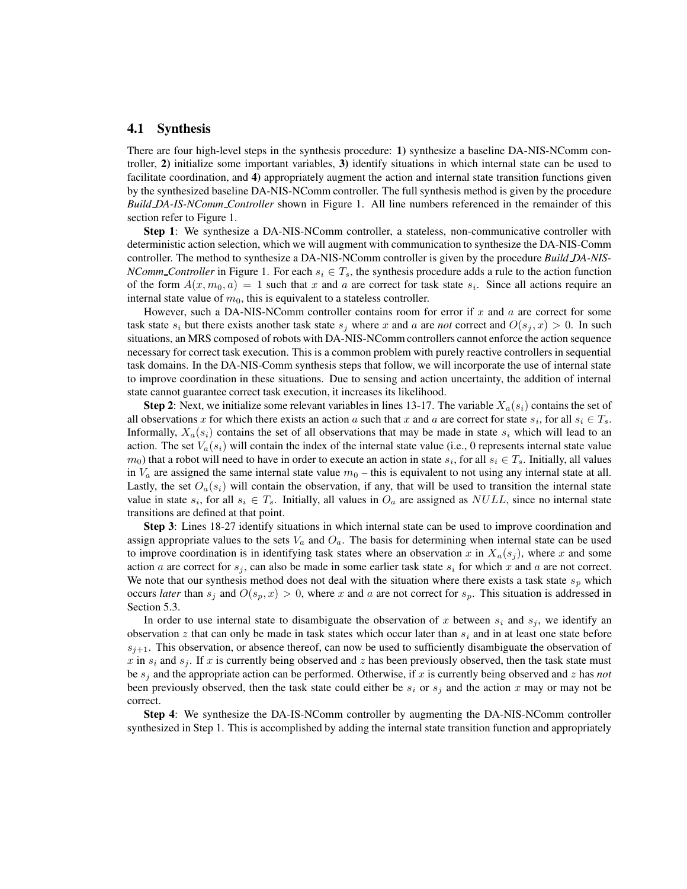#### **4.1 Synthesis**

There are four high-level steps in the synthesis procedure: **1)** synthesize a baseline DA-NIS-NComm controller, **2)** initialize some important variables, **3)** identify situations in which internal state can be used to facilitate coordination, and **4)** appropriately augment the action and internal state transition functions given by the synthesized baseline DA-NIS-NComm controller. The full synthesis method is given by the procedure *Build DA-IS-NComm Controller* shown in Figure 1. All line numbers referenced in the remainder of this section refer to Figure 1.

**Step 1**: We synthesize a DA-NIS-NComm controller, a stateless, non-communicative controller with deterministic action selection, which we will augment with communication to synthesize the DA-NIS-Comm controller. The method to synthesize a DA-NIS-NComm controller is given by the procedure *Build DA-NIS-NComm* Controller in Figure 1. For each  $s_i \in T_s$ , the synthesis procedure adds a rule to the action function of the form  $A(x, m_0, a) = 1$  such that x and a are correct for task state  $s_i$ . Since all actions require an internal state value of  $m_0$ , this is equivalent to a stateless controller.

However, such a DA-NIS-NComm controller contains room for error if  $x$  and  $a$  are correct for some task state  $s_i$  but there exists another task state  $s_j$  where x and a are *not* correct and  $O(s_j, x) > 0$ . In such situations, an MRS composed of robots with DA-NIS-NComm controllers cannot enforce the action sequence necessary for correct task execution. This is a common problem with purely reactive controllers in sequential task domains. In the DA-NIS-Comm synthesis steps that follow, we will incorporate the use of internal state to improve coordination in these situations. Due to sensing and action uncertainty, the addition of internal state cannot guarantee correct task execution, it increases its likelihood.

**Step 2**: Next, we initialize some relevant variables in lines 13-17. The variable  $X_a(s_i)$  contains the set of all observations x for which there exists an action a such that x and a are correct for state  $s_i$ , for all  $s_i \in T_s$ . Informally,  $X_a(s_i)$  contains the set of all observations that may be made in state  $s_i$  which will lead to an action. The set  $V_a(s_i)$  will contain the index of the internal state value (i.e., 0 represents internal state value  $m_0$ ) that a robot will need to have in order to execute an action in state  $s_i$ , for all  $s_i \in T_s$ . Initially, all values in  $V_a$  are assigned the same internal state value  $m_0$  – this is equivalent to not using any internal state at all. Lastly, the set  $O_a(s_i)$  will contain the observation, if any, that will be used to transition the internal state value in state  $s_i$ , for all  $s_i \in T_s$ . Initially, all values in  $O_a$  are assigned as  $NULL$ , since no internal state transitions are defined at that point.

**Step 3**: Lines 18-27 identify situations in which internal state can be used to improve coordination and assign appropriate values to the sets  $V_a$  and  $O_a$ . The basis for determining when internal state can be used to improve coordination is in identifying task states where an observation x in  $X_a(s_j)$ , where x and some action a are correct for  $s_j$ , can also be made in some earlier task state  $s_i$  for which x and a are not correct. We note that our synthesis method does not deal with the situation where there exists a task state  $s_p$  which occurs *later* than  $s_j$  and  $O(s_p, x) > 0$ , where x and a are not correct for  $s_p$ . This situation is addressed in Section 5.3.

In order to use internal state to disambiguate the observation of x between  $s_i$  and  $s_j$ , we identify an observation z that can only be made in task states which occur later than  $s_i$  and in at least one state before  $s_{i+1}$ . This observation, or absence thereof, can now be used to sufficiently disambiguate the observation of x in  $s_i$  and  $s_j$ . If x is currently being observed and z has been previously observed, then the task state must be  $s_i$  and the appropriate action can be performed. Otherwise, if x is currently being observed and z has *not* been previously observed, then the task state could either be  $s_i$  or  $s_j$  and the action x may or may not be correct.

**Step 4**: We synthesize the DA-IS-NComm controller by augmenting the DA-NIS-NComm controller synthesized in Step 1. This is accomplished by adding the internal state transition function and appropriately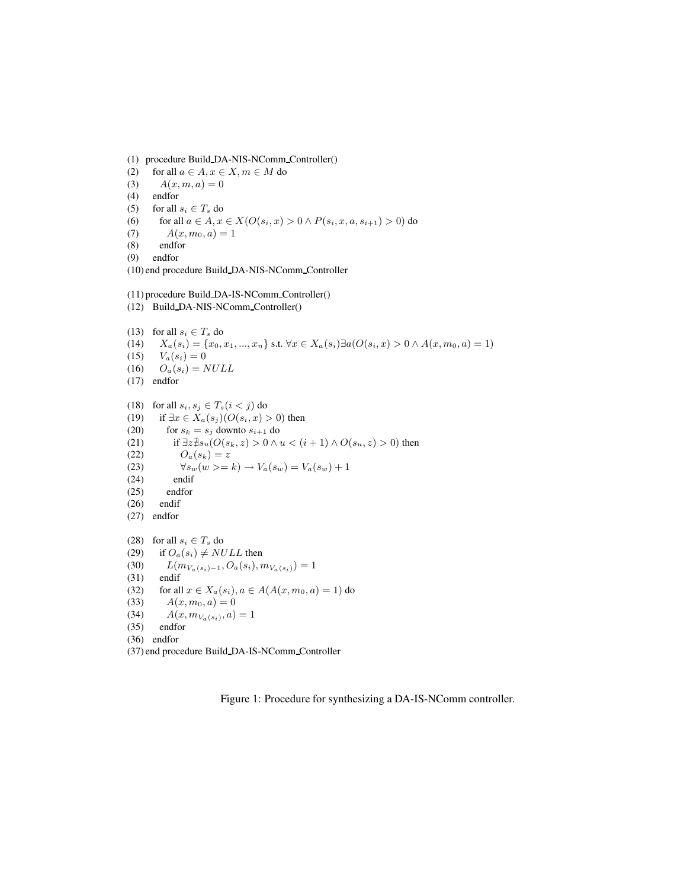(1) procedure Build DA-NIS-NComm Controller()

(2) for all  $a \in A$ ,  $x \in X$ ,  $m \in M$  do

(3)  $A(x, m, a) = 0$ 

(4) endfor

(5) for all  $s_i \in T_s$  do

(6) for all  $a \in A$ ,  $x \in X(O(s_i, x) > 0 \land P(s_i, x, a, s_{i+1}) > 0)$  do

(7)  $A(x, m_0, a) = 1$ 

(8) endfor

(9) endfor

(10) end procedure Build DA-NIS-NComm Controller

- (11) procedure Build DA-IS-NComm Controller()
- (12) Build DA-NIS-NComm Controller()

(13) for all  $s_i \in T_s$  do (14)  $X_a(s_i) = \{x_0, x_1, ..., x_n\}$  s.t.  $\forall x \in X_a(s_i) \exists a (O(s_i, x) > 0 \land A(x, m_0, a) = 1)$ (15)  $V_a(s_i) = 0$ (16)  $O_a(s_i) = NULL$ (17) endfor (18) for all  $s_i, s_j \in T_s(i < j)$  do (19) if  $\exists x \in X_a(s_i)(O(s_i, x) > 0)$  then (20) for  $s_k = s_j$  downto  $s_{i+1}$  do (21) if  $\exists z \nexists s_u (O(s_k, z) > 0 \land u < (i + 1) \land O(s_u, z) > 0)$  then (22)  $O_a(s_k) = z$ (23)  $\forall s_w(w) = k) \rightarrow V_a(s_w) = V_a(s_w) + 1$ (24) endif (25) endfor (26) endif (27) endfor (28) for all  $s_i \in T_s$  do (29) if  $O_a(s_i) \neq NULL$  then (30)  $L(m_{V_a(s_i)-1}, O_a(s_i), m_{V_a(s_i)}) = 1$ (31) endif (32) for all  $x \in X_a(s_i), a \in A(A(x, m_0, a) = 1)$  do (33)  $A(x, m_0, a) = 0$ (34)  $A(x, m_{V_a(s_i)}, a) = 1$ (35) endfor (36) endfor

(37) end procedure Build DA-IS-NComm Controller

Figure 1: Procedure for synthesizing a DA-IS-NComm controller.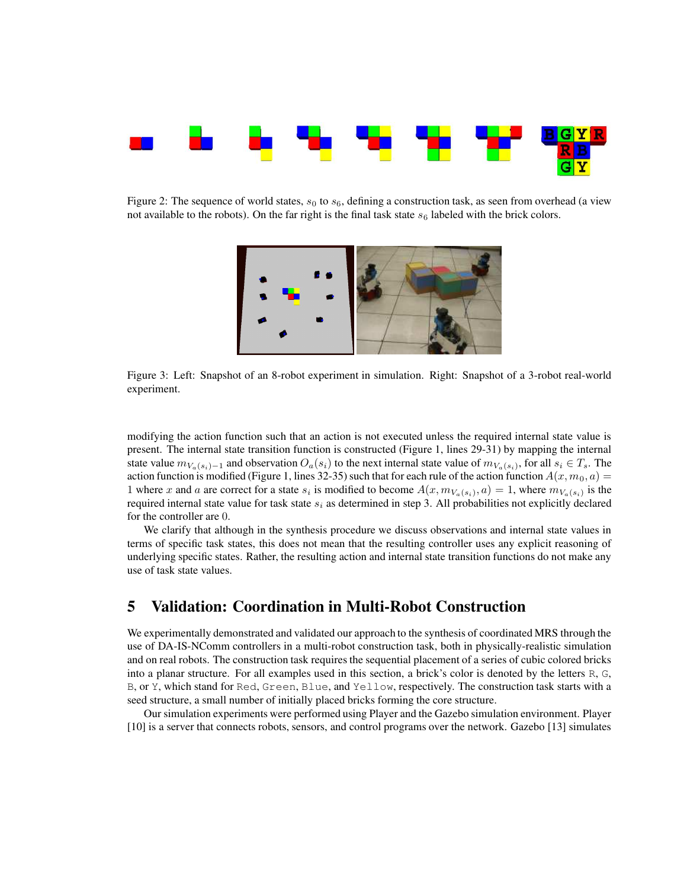

Figure 2: The sequence of world states,  $s_0$  to  $s_6$ , defining a construction task, as seen from overhead (a view not available to the robots). On the far right is the final task state  $s<sub>6</sub>$  labeled with the brick colors.



Figure 3: Left: Snapshot of an 8-robot experiment in simulation. Right: Snapshot of a 3-robot real-world experiment.

modifying the action function such that an action is not executed unless the required internal state value is present. The internal state transition function is constructed (Figure 1, lines 29-31) by mapping the internal state value  $m_{V_a(s_i)-1}$  and observation  $O_a(s_i)$  to the next internal state value of  $m_{V_a(s_i)}$ , for all  $s_i \in T_s$ . The action function is modified (Figure 1, lines 32-35) such that for each rule of the action function  $A(x, m_0, a)$  = 1 where x and a are correct for a state  $s_i$  is modified to become  $A(x, m_{V_a(s_i)}, a) = 1$ , where  $m_{V_a(s_i)}$  is the required internal state value for task state  $s_i$  as determined in step 3. All probabilities not explicitly declared for the controller are 0.

We clarify that although in the synthesis procedure we discuss observations and internal state values in terms of specific task states, this does not mean that the resulting controller uses any explicit reasoning of underlying specific states. Rather, the resulting action and internal state transition functions do not make any use of task state values.

# **5 Validation: Coordination in Multi-Robot Construction**

We experimentally demonstrated and validated our approach to the synthesis of coordinated MRS through the use of DA-IS-NComm controllers in a multi-robot construction task, both in physically-realistic simulation and on real robots. The construction task requires the sequential placement of a series of cubic colored bricks into a planar structure. For all examples used in this section, a brick's color is denoted by the letters R, G, B, or Y, which stand for Red, Green, Blue, and Yellow, respectively. The construction task starts with a seed structure, a small number of initially placed bricks forming the core structure.

Our simulation experiments were performed using Player and the Gazebo simulation environment. Player [10] is a server that connects robots, sensors, and control programs over the network. Gazebo [13] simulates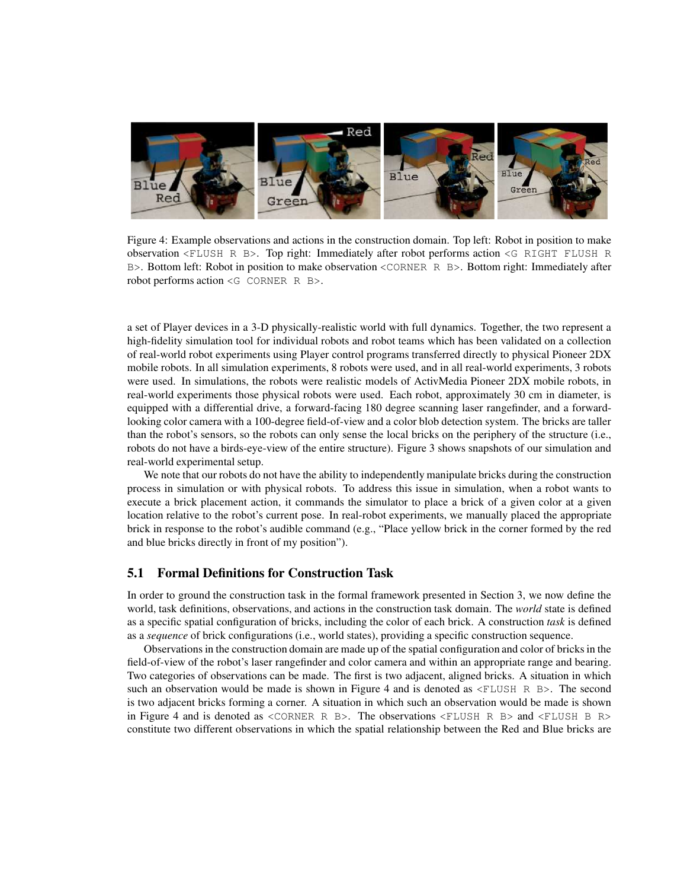

Figure 4: Example observations and actions in the construction domain. Top left: Robot in position to make observation <FLUSH R B>. Top right: Immediately after robot performs action <G RIGHT FLUSH R B>. Bottom left: Robot in position to make observation <CORNER R B>. Bottom right: Immediately after robot performs action <G CORNER R B>.

a set of Player devices in a 3-D physically-realistic world with full dynamics. Together, the two represent a high-fidelity simulation tool for individual robots and robot teams which has been validated on a collection of real-world robot experiments using Player control programs transferred directly to physical Pioneer 2DX mobile robots. In all simulation experiments, 8 robots were used, and in all real-world experiments, 3 robots were used. In simulations, the robots were realistic models of ActivMedia Pioneer 2DX mobile robots, in real-world experiments those physical robots were used. Each robot, approximately 30 cm in diameter, is equipped with a differential drive, a forward-facing 180 degree scanning laser rangefinder, and a forwardlooking color camera with a 100-degree field-of-view and a color blob detection system. The bricks are taller than the robot's sensors, so the robots can only sense the local bricks on the periphery of the structure (i.e., robots do not have a birds-eye-view of the entire structure). Figure 3 shows snapshots of our simulation and real-world experimental setup.

We note that our robots do not have the ability to independently manipulate bricks during the construction process in simulation or with physical robots. To address this issue in simulation, when a robot wants to execute a brick placement action, it commands the simulator to place a brick of a given color at a given location relative to the robot's current pose. In real-robot experiments, we manually placed the appropriate brick in response to the robot's audible command (e.g., "Place yellow brick in the corner formed by the red and blue bricks directly in front of my position").

### **5.1 Formal Definitions for Construction Task**

In order to ground the construction task in the formal framework presented in Section 3, we now define the world, task definitions, observations, and actions in the construction task domain. The *world* state is defined as a specific spatial configuration of bricks, including the color of each brick. A construction *task* is defined as a *sequence* of brick configurations (i.e., world states), providing a specific construction sequence.

Observations in the construction domain are made up of the spatial configuration and color of bricks in the field-of-view of the robot's laser rangefinder and color camera and within an appropriate range and bearing. Two categories of observations can be made. The first is two adjacent, aligned bricks. A situation in which such an observation would be made is shown in Figure 4 and is denoted as  $\leq$ ELUSH R B>. The second is two adjacent bricks forming a corner. A situation in which such an observation would be made is shown in Figure 4 and is denoted as  $\leq$  CORNER R B>. The observations  $\leq$  ELUSH R B> and  $\leq$  ELUSH B R> constitute two different observations in which the spatial relationship between the Red and Blue bricks are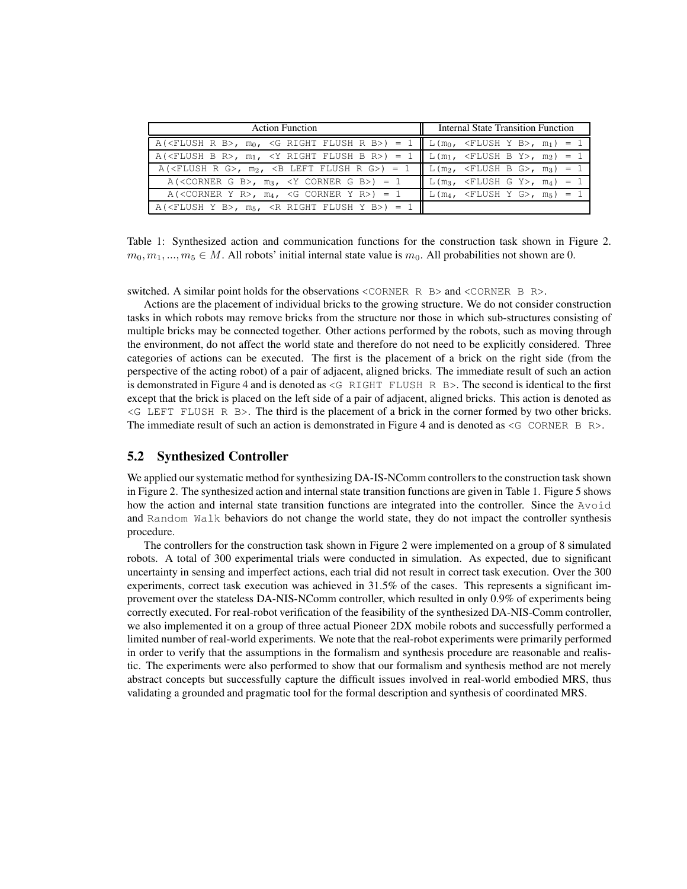| <b>Action Function</b>                                                                   | <b>Internal State Transition Function</b>                                    |  |  |
|------------------------------------------------------------------------------------------|------------------------------------------------------------------------------|--|--|
| A( <flush b="" r="">, <math>m_0</math>, <g b="" flush="" r="" right="">) = 1</g></flush> | $\parallel$ L(m <sub>0</sub> , <flush b="" y="">, m<sub>1</sub>) = 1</flush> |  |  |
| A( <flush b="" r="">, <math>m_1</math>, <y b="" flush="" r="" right="">) = 1</y></flush> | $\parallel$ L(m <sub>1</sub> , <flush b="" y="">, m<sub>2</sub>) = 1</flush> |  |  |
| A( <flush g="" r="">, <math>m_2</math>, <b flush="" g="" left="" r="">) = 1</b></flush>  | $\parallel$ L(m <sub>2</sub> , <flush b="" g="">, m<sub>3</sub>) = 1</flush> |  |  |
| A( <corner b="" g="">, <math>m_3</math>, <y b="" corner="" g="">) = 1</y></corner>       | $L(m_3, \leq FLUSH \leq Y > 0, m_4) = 1$                                     |  |  |
| A( <corner r="" y="">, <math>m_4</math>, <g corner="" r="" y="">) = 1</g></corner>       | $L(m_4, \leq FLUSH \leq G>_{r} m_5) = 1$                                     |  |  |
| A( <flush b="" y="">, m5, <r b="" flush="" right="" y="">) = 1</r></flush>               |                                                                              |  |  |

Table 1: Synthesized action and communication functions for the construction task shown in Figure 2.  $m_0, m_1, ..., m_5 \in M$ . All robots' initial internal state value is  $m_0$ . All probabilities not shown are 0.

switched. A similar point holds for the observations  $\langle \text{CORNER} \rangle$  R  $\langle \text{B} \rangle$  B> and  $\langle \text{CORNER} \rangle$  B  $\langle \text{R} \rangle$ .

Actions are the placement of individual bricks to the growing structure. We do not consider construction tasks in which robots may remove bricks from the structure nor those in which sub-structures consisting of multiple bricks may be connected together. Other actions performed by the robots, such as moving through the environment, do not affect the world state and therefore do not need to be explicitly considered. Three categories of actions can be executed. The first is the placement of a brick on the right side (from the perspective of the acting robot) of a pair of adjacent, aligned bricks. The immediate result of such an action is demonstrated in Figure 4 and is denoted as  $\le$ G RIGHT FLUSH R B>. The second is identical to the first except that the brick is placed on the left side of a pair of adjacent, aligned bricks. This action is denoted as <G LEFT FLUSH R B>. The third is the placement of a brick in the corner formed by two other bricks. The immediate result of such an action is demonstrated in Figure 4 and is denoted as  $\leq G$  CORNER B R>.

### **5.2 Synthesized Controller**

We applied our systematic method for synthesizing DA-IS-NComm controllers to the construction task shown in Figure 2. The synthesized action and internal state transition functions are given in Table 1. Figure 5 shows how the action and internal state transition functions are integrated into the controller. Since the Avoid and Random Walk behaviors do not change the world state, they do not impact the controller synthesis procedure.

The controllers for the construction task shown in Figure 2 were implemented on a group of 8 simulated robots. A total of 300 experimental trials were conducted in simulation. As expected, due to significant uncertainty in sensing and imperfect actions, each trial did not result in correct task execution. Over the 300 experiments, correct task execution was achieved in 31.5% of the cases. This represents a significant improvement over the stateless DA-NIS-NComm controller, which resulted in only 0.9% of experiments being correctly executed. For real-robot verification of the feasibility of the synthesized DA-NIS-Comm controller, we also implemented it on a group of three actual Pioneer 2DX mobile robots and successfully performed a limited number of real-world experiments. We note that the real-robot experiments were primarily performed in order to verify that the assumptions in the formalism and synthesis procedure are reasonable and realistic. The experiments were also performed to show that our formalism and synthesis method are not merely abstract concepts but successfully capture the difficult issues involved in real-world embodied MRS, thus validating a grounded and pragmatic tool for the formal description and synthesis of coordinated MRS.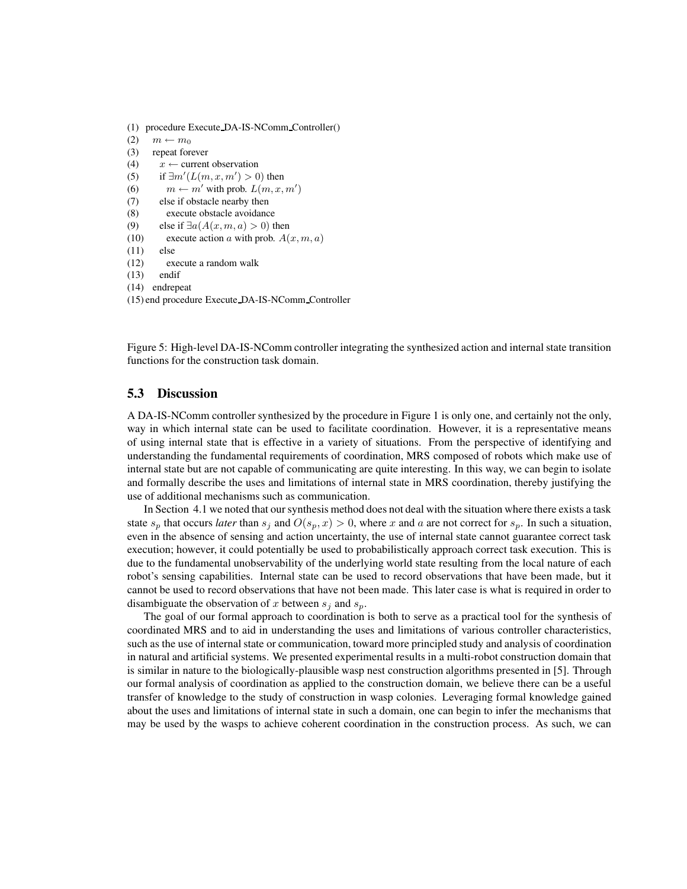(2)  $m \leftarrow m_0$ (3) repeat forever (4)  $x \leftarrow$  current observation (5) if  $\exists m' (L(m, x, m') > 0)$  then (6)  $m \leftarrow m'$  with prob.  $L(m, x, m')$ (7) else if obstacle nearby then (8) execute obstacle avoidance (9) else if  $\exists a(A(x, m, a) > 0)$  then (10) execute action a with prob.  $A(x, m, a)$ (11) else (12) execute a random walk  $(13)$  endif

```
(14) endrepeat
```

```
(15) end procedure Execute DA-IS-NComm Controller
```
Figure 5: High-level DA-IS-NComm controller integrating the synthesized action and internal state transition functions for the construction task domain.

#### **5.3 Discussion**

A DA-IS-NComm controller synthesized by the procedure in Figure 1 is only one, and certainly not the only, way in which internal state can be used to facilitate coordination. However, it is a representative means of using internal state that is effective in a variety of situations. From the perspective of identifying and understanding the fundamental requirements of coordination, MRS composed of robots which make use of internal state but are not capable of communicating are quite interesting. In this way, we can begin to isolate and formally describe the uses and limitations of internal state in MRS coordination, thereby justifying the use of additional mechanisms such as communication.

In Section 4.1 we noted that our synthesis method does not deal with the situation where there exists a task state  $s_p$  that occurs *later* than  $s_j$  and  $O(s_p, x) > 0$ , where x and a are not correct for  $s_p$ . In such a situation, even in the absence of sensing and action uncertainty, the use of internal state cannot guarantee correct task execution; however, it could potentially be used to probabilistically approach correct task execution. This is due to the fundamental unobservability of the underlying world state resulting from the local nature of each robot's sensing capabilities. Internal state can be used to record observations that have been made, but it cannot be used to record observations that have not been made. This later case is what is required in order to disambiguate the observation of x between  $s_i$  and  $s_p$ .

The goal of our formal approach to coordination is both to serve as a practical tool for the synthesis of coordinated MRS and to aid in understanding the uses and limitations of various controller characteristics, such as the use of internal state or communication, toward more principled study and analysis of coordination in natural and artificial systems. We presented experimental results in a multi-robot construction domain that is similar in nature to the biologically-plausible wasp nest construction algorithms presented in [5]. Through our formal analysis of coordination as applied to the construction domain, we believe there can be a useful transfer of knowledge to the study of construction in wasp colonies. Leveraging formal knowledge gained about the uses and limitations of internal state in such a domain, one can begin to infer the mechanisms that may be used by the wasps to achieve coherent coordination in the construction process. As such, we can

(1) procedure Execute DA-IS-NComm Controller()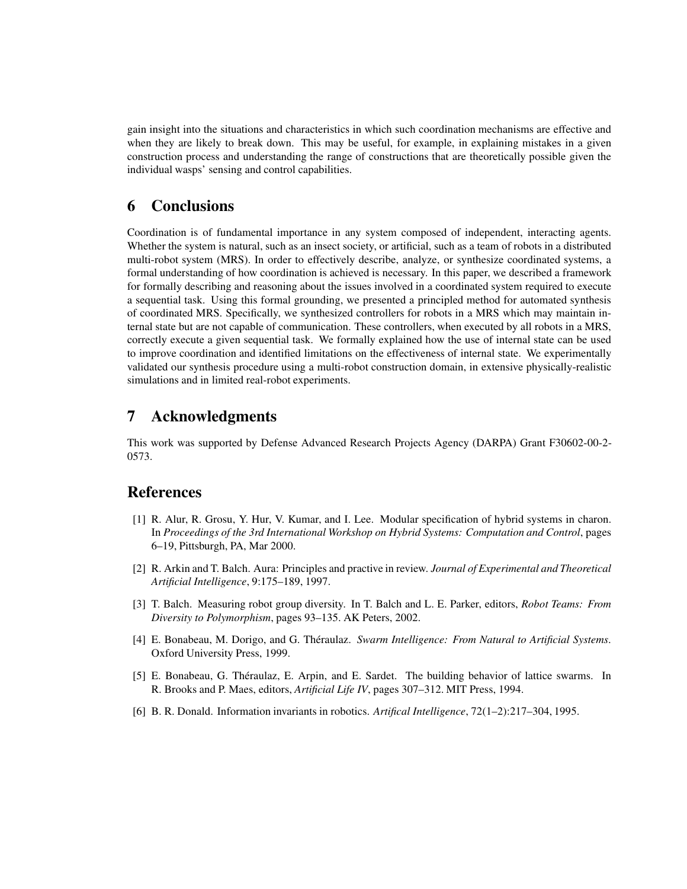gain insight into the situations and characteristics in which such coordination mechanisms are effective and when they are likely to break down. This may be useful, for example, in explaining mistakes in a given construction process and understanding the range of constructions that are theoretically possible given the individual wasps' sensing and control capabilities.

# **6 Conclusions**

Coordination is of fundamental importance in any system composed of independent, interacting agents. Whether the system is natural, such as an insect society, or artificial, such as a team of robots in a distributed multi-robot system (MRS). In order to effectively describe, analyze, or synthesize coordinated systems, a formal understanding of how coordination is achieved is necessary. In this paper, we described a framework for formally describing and reasoning about the issues involved in a coordinated system required to execute a sequential task. Using this formal grounding, we presented a principled method for automated synthesis of coordinated MRS. Specifically, we synthesized controllers for robots in a MRS which may maintain internal state but are not capable of communication. These controllers, when executed by all robots in a MRS, correctly execute a given sequential task. We formally explained how the use of internal state can be used to improve coordination and identified limitations on the effectiveness of internal state. We experimentally validated our synthesis procedure using a multi-robot construction domain, in extensive physically-realistic simulations and in limited real-robot experiments.

# **7 Acknowledgments**

This work was supported by Defense Advanced Research Projects Agency (DARPA) Grant F30602-00-2- 0573.

## **References**

- [1] R. Alur, R. Grosu, Y. Hur, V. Kumar, and I. Lee. Modular specification of hybrid systems in charon. In *Proceedings of the 3rd International Workshop on Hybrid Systems: Computation and Control*, pages 6–19, Pittsburgh, PA, Mar 2000.
- [2] R. Arkin and T. Balch. Aura: Principles and practive in review. *Journal of Experimental and Theoretical Artificial Intelligence*, 9:175–189, 1997.
- [3] T. Balch. Measuring robot group diversity. In T. Balch and L. E. Parker, editors, *Robot Teams: From Diversity to Polymorphism*, pages 93–135. AK Peters, 2002.
- [4] E. Bonabeau, M. Dorigo, and G. Theraulaz. ´ *Swarm Intelligence: From Natural to Artificial Systems*. Oxford University Press, 1999.
- [5] E. Bonabeau, G. Théraulaz, E. Arpin, and E. Sardet. The building behavior of lattice swarms. In R. Brooks and P. Maes, editors, *Artificial Life IV*, pages 307–312. MIT Press, 1994.
- [6] B. R. Donald. Information invariants in robotics. *Artifical Intelligence*, 72(1–2):217–304, 1995.